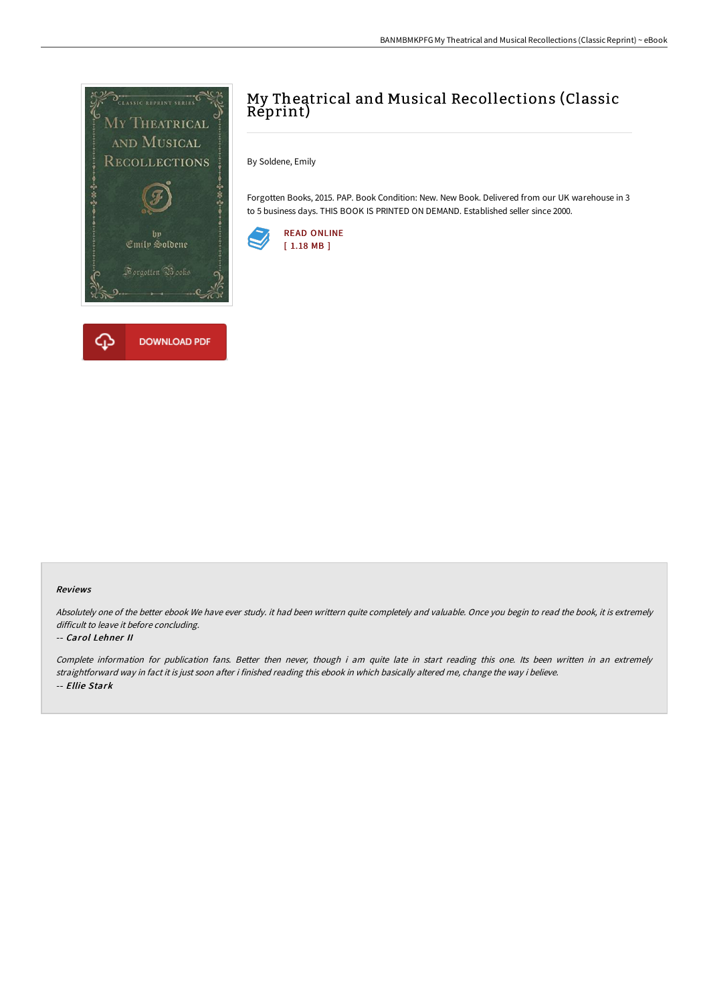

# My Theatrical and Musical Recollections (Classic Reprint)

By Soldene, Emily

Forgotten Books, 2015. PAP. Book Condition: New. New Book. Delivered from our UK warehouse in 3 to 5 business days. THIS BOOK IS PRINTED ON DEMAND. Established seller since 2000.



### Reviews

Absolutely one of the better ebook We have ever study. it had been writtern quite completely and valuable. Once you begin to read the book, it is extremely difficult to leave it before concluding.

### -- Carol Lehner II

Complete information for publication fans. Better then never, though i am quite late in start reading this one. Its been written in an extremely straightforward way in fact it is just soon after i finished reading this ebook in which basically altered me, change the way i believe. -- Ellie Stark